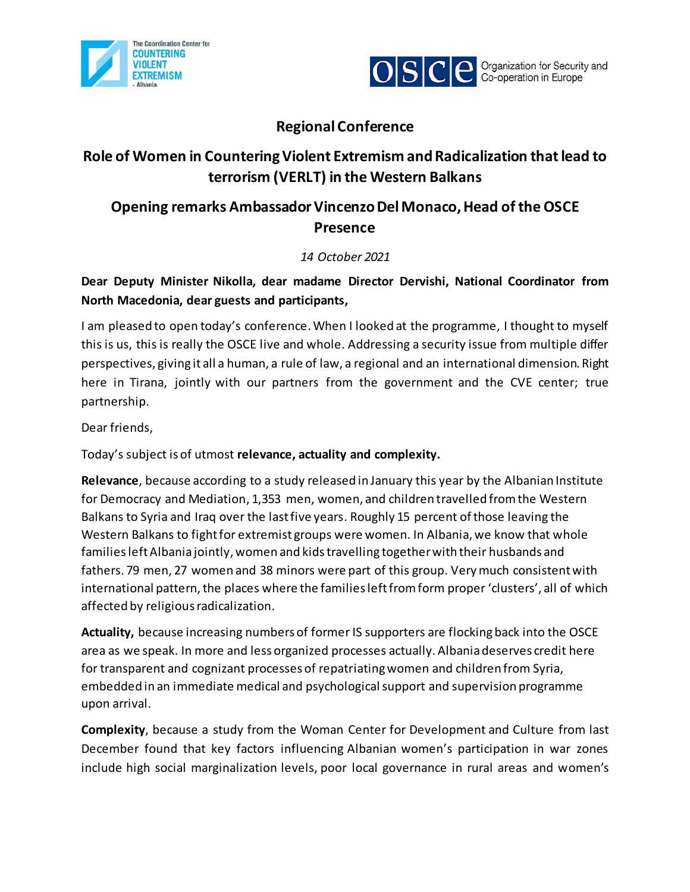



### **Regional Conference**

# **Role of Women in Countering Violent Extremism and Radicalization that lead to terrorism (VERLT) in the Western Balkans**

## **Opening remarks Ambassador Vincenzo Del Monaco, Head of the OSCE Presence**

#### *14 October 2021*

#### **Dear Deputy Minister Nikolla, dear madame Director Dervishi, National Coordinator from North Macedonia, dear guests and participants,**

I am pleased to open today's conference. When I looked at the programme, I thought to myself this is us, this is really the OSCE live and whole. Addressing a security issue from multiple differ perspectives, giving it all a human, a rule of law, a regional and an international dimension. Right here in Tirana, jointly with our partners from the government and the CVE center; true partnership.

Dear friends,

Today's subject is of utmost **relevance, actuality and complexity.**

**Relevance**, because according to a study released in January this year by the Albanian Institute for Democracy and Mediation, 1,353 men, women, and children travelled from the Western Balkans to Syria and Iraq over the last five years. Roughly 15 percent of those leaving the Western Balkans to fight for extremist groups were women. In Albania, we know that whole familiesleft Albania jointly, women and kidstravelling together with their husbands and fathers. 79 men, 27 women and 38 minors were part of this group. Very much consistent with international pattern, the places where the families left from form proper 'clusters', all of which affected by religious radicalization.

**Actuality,** because increasing numbers of former IS supporters are flocking back into the OSCE area as we speak. In more and less organized processes actually. Albania deserves credit here for transparent and cognizant processes of repatriating women and children from Syria, embedded in an immediate medical and psychological support and supervision programme upon arrival.

**Complexity**, because a study from the Woman Center for Development and Culture from last December found that key factors influencing Albanian women's participation in war zones include high social marginalization levels, poor local governance in rural areas and women's